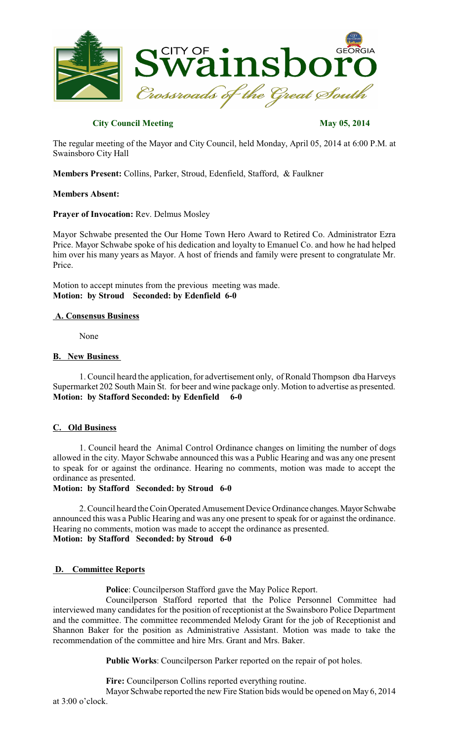

# **City Council Meeting May 05, 2014**

The regular meeting of the Mayor and City Council, held Monday, April 05, 2014 at 6:00 P.M. at Swainsboro City Hall

**Members Present:** Collins, Parker, Stroud, Edenfield, Stafford, & Faulkner

### **Members Absent:**

# **Prayer of Invocation:** Rev. Delmus Mosley

Mayor Schwabe presented the Our Home Town Hero Award to Retired Co. Administrator Ezra Price. Mayor Schwabe spoke of his dedication and loyalty to Emanuel Co. and how he had helped him over his many years as Mayor. A host of friends and family were present to congratulate Mr. Price.

Motion to accept minutes from the previous meeting was made. **Motion: by Stroud Seconded: by Edenfield 6-0**

# **A. Consensus Business**

None

### **B. New Business**

1. Council heard the application, for advertisement only, of Ronald Thompson dba Harveys Supermarket 202 South Main St. for beer and wine package only. Motion to advertise as presented. **Motion: by Stafford Seconded: by Edenfield 6-0**

# **C. Old Business**

1. Council heard the Animal Control Ordinance changes on limiting the number of dogs allowed in the city. Mayor Schwabe announced this was a Public Hearing and was any one present to speak for or against the ordinance. Hearing no comments, motion was made to accept the ordinance as presented.

## **Motion: by Stafford Seconded: by Stroud 6-0**

2. Council heard the Coin Operated Amusement Device Ordinance changes. Mayor Schwabe announced this was a Public Hearing and was any one present to speak for or against the ordinance. Hearing no comments, motion was made to accept the ordinance as presented. **Motion: by Stafford Seconded: by Stroud 6-0**

# **D. Committee Reports**

**Police**: Councilperson Stafford gave the May Police Report.

Councilperson Stafford reported that the Police Personnel Committee had interviewed many candidates for the position of receptionist at the Swainsboro Police Department and the committee. The committee recommended Melody Grant for the job of Receptionist and Shannon Baker for the position as Administrative Assistant. Motion was made to take the recommendation of the committee and hire Mrs. Grant and Mrs. Baker.

**Public Works**: Councilperson Parker reported on the repair of pot holes.

**Fire:** Councilperson Collins reported everything routine.

Mayor Schwabe reported the new Fire Station bids would be opened on May 6, 2014 at 3:00 o'clock.